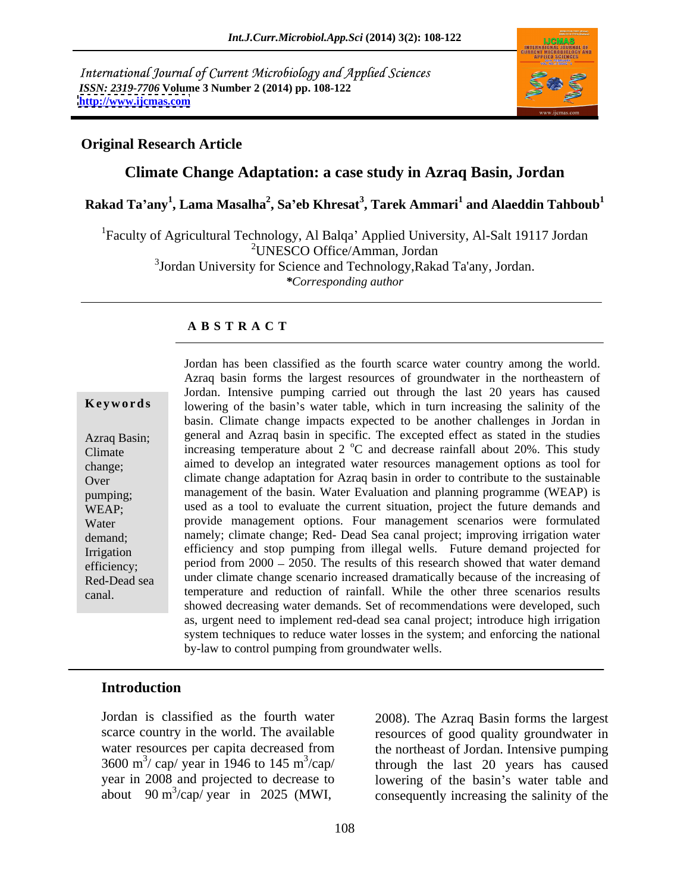International Journal of Current Microbiology and Applied Sciences *ISSN: 2319-7706* **Volume 3 Number 2 (2014) pp. 108-122 <http://www.ijcmas.com>**



### **Original Research Article**

### **Climate Change Adaptation: a case study in Azraq Basin, Jordan**

**Rakad Ta any 1 , Lama Masalha<sup>2</sup> , Sa eb Khresat<sup>3</sup> , Tarek Ammari<sup>1</sup> and Alaeddin Tahboub<sup>1</sup>**

<sup>1</sup>Faculty of Agricultural Technology, Al Balqa' Applied University, Al-Salt 19117 Jordan 2UNESCO Office/Amman, Jordan 3 Jordan University for Science and Technology,Rakad Ta'any, Jordan. *\*Corresponding author*

### **A B S T R A C T**

**Keywords** lowering of the basin's water table, which in turn increasing the salinity of the Azraq Basin; general and Azraq basin in specific. The excepted effect as stated in the studies Climate increasing temperature about  $2 \degree C$  and decrease rainfall about  $20\%$ . This study change; aimed to develop an integrated water resources management options as tool for Over climate change adaptation for Azraq basin in order to contribute to the sustainable pumping; management of the basin. Water Evaluation and planning programme (WEAP) is  $WEAP$ ; used as a tool to evaluate the current situation, project the future demands and Water provide management options. Four management scenarios were formulated demand; namely; climate change; Red- Dead Sea canal project; improving irrigation water Irrigation efficiency and stop pumping from illegal wells. Future demand projected for efficiency; period from 2000 – 2050. The results of this research showed that water demand Red-Dead sea under climate change scenario increased dramatically because of the increasing of canal. temperature and reduction of rainfall. While the other three scenarios results Jordan has been classified as the fourth scarce water country among the world. Azraq basin forms the largest resources of groundwater in the northeastern of Jordan. Intensive pumping carried out through the last 20 years has caused basin. Climate change impacts expected to be another challenges in Jordan in showed decreasing water demands. Set of recommendations were developed, such as, urgent need to implement red-dead sea canal project; introduce high irrigation system techniques to reduce water losses in the system; and enforcing the national by-law to control pumping from groundwater wells.

### **Introduction**

Jordan is classified as the fourth water 3600 m<sup>3</sup>/ cap/ year in 1946 to 145 m<sup>3</sup>/cap/ about  $90 \text{ m}^3/\text{cap/} \text{year}$  in 2025 (MWI,

scarce country in the world. The available resources of good quality groundwater in water resources per capita decreased from the northeast of Jordan. Intensive pumping  $3600 \text{ m}^3/\text{cap}/\text{year}$  in 1946 to 145 m<sup>3</sup>/cap/ through the last 20 years has caused year in 2008 and projected to decrease to lowering of the basin's water table and ssified as the fourth water and the secure of good quality groundwater in<br>
es per capita decreased from the northeast of Jordan. Intensive pumping<br>
(year in 1946 to 145 m<sup>3</sup>/cap/<br>
and projected to decrease to lowering of consequently increasing the salinity of the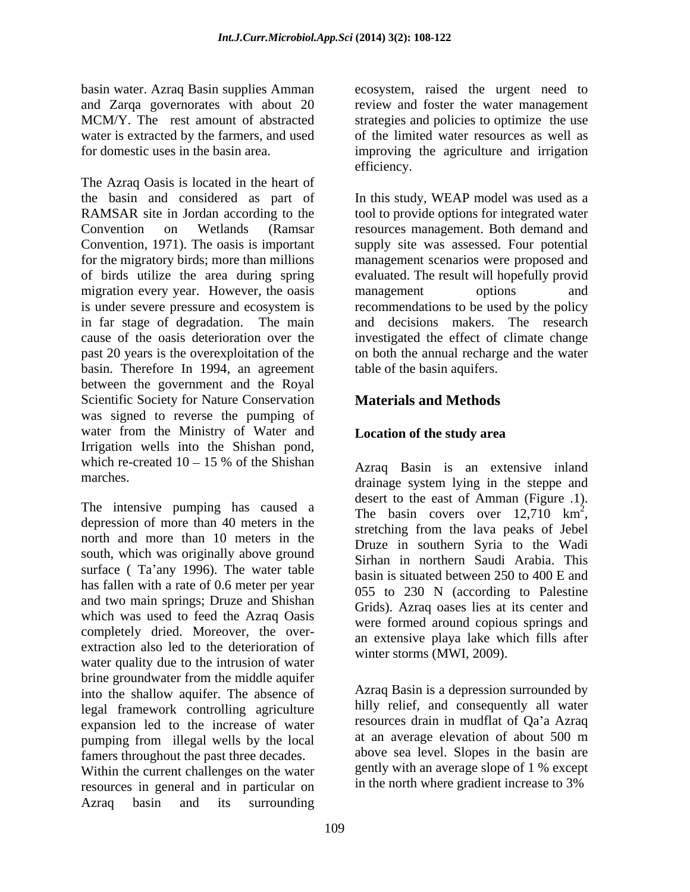basin water. Azraq Basin supplies Amman

The Azraq Oasis is located in the heart of the basin and considered as part of In this study, WEAP model was used as a RAMSAR site in Jordan according to the tool to provide options for integrated water Convention on Wetlands (Ramsar resources management. Both demand and Convention, 1971). The oasis is important supply site was assessed. Four potential for the migratory birds; more than millions management scenarios were proposed and of birds utilize the area during spring evaluated. The result will hopefully provid migration every year. However, the oasis management options and is under severe pressure and ecosystem is in far stage of degradation. The main and decisions makers. The research cause of the oasis deterioration over the investigated the effect of climate change past 20 years is the overexploitation of the on both the annual recharge and the water basin. Therefore In 1994, an agreement between the government and the Royal Scientific Society for Nature Conservation was signed to reverse the pumping of water from the Ministry of Water and Irrigation wells into the Shishan pond, which re-created  $10 - 15$  % of the Shishan  $\overline{A_{2}r_{30}}$  Basin is an extensive inland

depression of more than 40 meters in the  $\frac{12}{12}$ , the stretching from the lava peaks of Jebel north and more than 10 meters in the south, which was originally above ground surface ( $Ta'$ any 1996). The water table has fallen with a rate of 0.6 meter per year and two main springs; Druze and Shishan which was used to feed the Azraq Oasis completely dried. Moreover, the over extraction also led to the deterioration of water quality due to the intrusion of water brine groundwater from the middle aquifer into the shallow aquifer. The absence of legal framework controlling agriculture expansion led to the increase of water pumping from illegal wells by the local famers throughout the past three decades.

Within the current challenges on the water resources in general and in particular on Azraq basin and its surrounding

and Zarqa governorates with about 20 review and foster the water management MCM/Y. The rest amount of abstracted strategies and policies to optimize the use water is extracted by the farmers, and used of the limited water resources as well as for domestic uses in the basin area. improving the agriculture and irrigation ecosystem, raised the urgent need to efficiency.

> management options and recommendations to be used by the policy table of the basin aquifers.

### **Materials and Methods**

### **Location of the study area**

marches.<br>drainage system lying in the steppe and The intensive pumping has caused a desert to the east of Amman (Figure .1).<br>The basin covers over 12,710 km<sup>2</sup>, Azraq Basin is an extensive inland desert to the east of Amman (Figure .1).<br>The basin covers over  $12,710 \text{ km}^2$ ,  $\overline{2}$ The basin covers over  $12,710 \text{ km}^2$ , stretching from the lava peaks of Jebel Druze in southern Syria to the Wadi Sirhan in northern Saudi Arabia. This basin is situated between 250 to 400 E and 055 to 230 N (according to Palestine Grids). Azraq oases lies at its center and were formed around copious springs and an extensive playa lake which fills after winter storms (MWI, 2009).

> Azraq Basin is a depression surrounded by hilly relief, and consequently all water resources drain in mudflat of Qa'a Azraq at an average elevation of about 500 m above sea level. Slopes in the basin are gently with an average slope of 1 % except in the north where gradient increase to 3%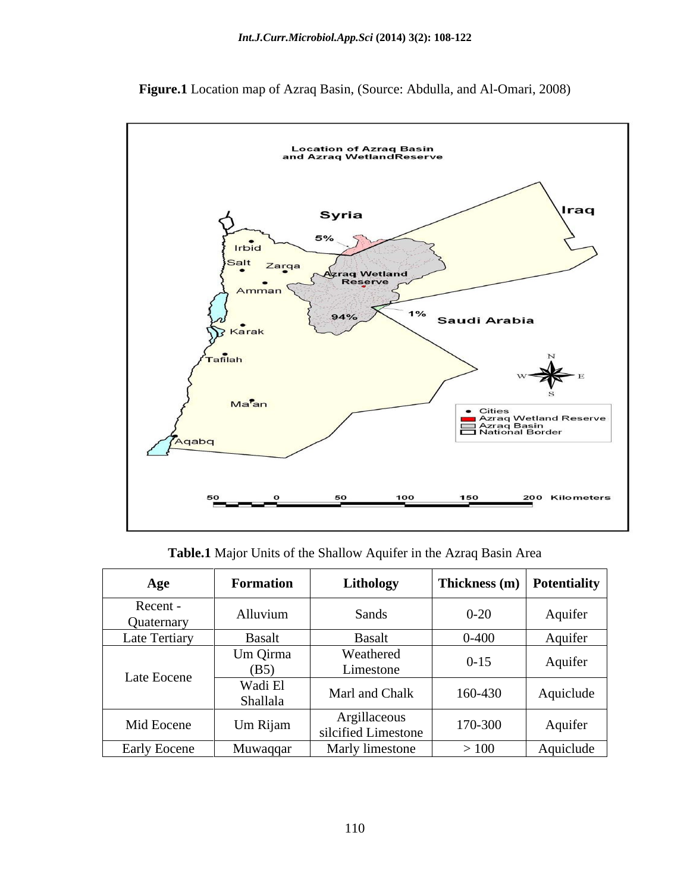

**Figure.1** Location map of Azraq Basin, (Source: Abdulla, and Al-Omari, 2008)

**Table.1** Major Units of the Shallow Aquifer in the Azraq Basin Area

| Age                  | <b>Formation</b>    | Lithology                           | Thickness (m) Potentiality |           |
|----------------------|---------------------|-------------------------------------|----------------------------|-----------|
| Recent<br>Quaternary | Alluvium            | Sands                               | $0 - 20$                   | Aquifer   |
| Late Tertiary        | <b>Basalt</b>       | Basalt                              | $0 - 400$                  | Aquifer   |
| Late Eocene          | Um Qirma<br>(B5)    | Weathered<br>Limestone              | $0 - 15$                   | Aquifer   |
|                      | Wadi El<br>Shallala | Marl and Chalk                      | 160-430                    | Aquiclude |
| Mid Eocene           | Um Rijam            | Argillaceous<br>silcified Limestone | 170-300                    | Aquifer   |
| Early Eocene         | Muwaqqar            | Marly limestone                     | $>100$                     | Aquiclude |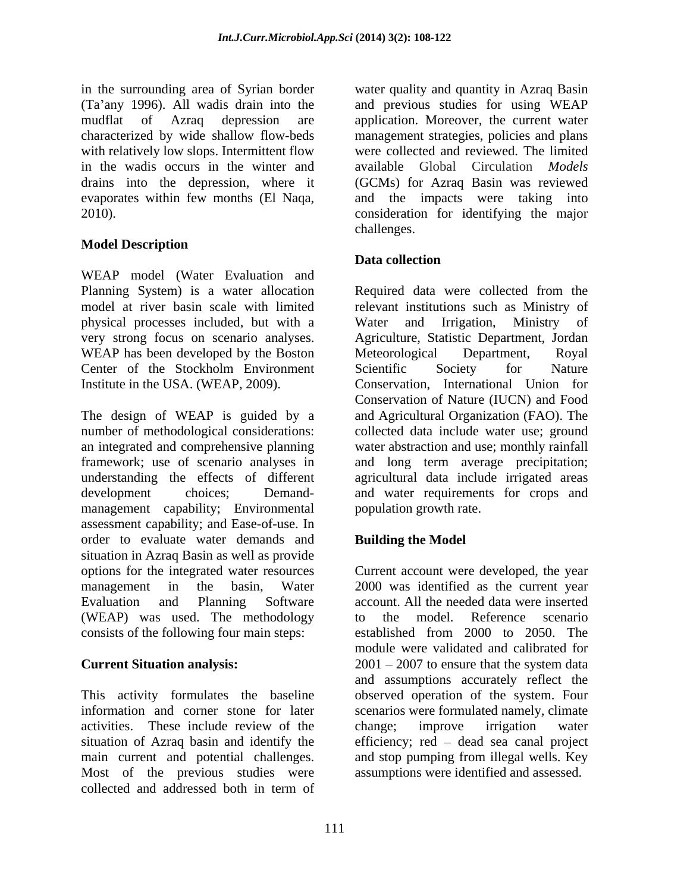(Ta'any 1996). All wadis drain into the with relatively low slops. Intermittent flow in the wadis occurs in the winter and evaporates within few months (El Naqa,

### **Model Description**

WEAP model (Water Evaluation and physical processes included, but with a WEAP has been developed by the Boston Meteorological Department, Royal Center of the Stockholm Environment Scientific Society for Nature Institute in the USA. (WEAP, 2009).

The design of WEAP is guided by a and Agricultural Organization (FAO). The number of methodological considerations: collected data include water use; ground an integrated and comprehensive planning water abstraction and use; monthly rainfall framework; use of scenario analyses in and long term average precipitation; understanding the effects of different agricultural data include irrigated areas development choices; Demand- and water requirements for crops and management capability; Environmental assessment capability; and Ease-of-use. In order to evaluate water demands and situation in Azraq Basin as well as provide options for the integrated water resources Current account were developed, the year management in the basin, Water 2000 was identified as the current year Evaluation and Planning Software account. All the needed data were inserted (WEAP) was used. The methodology to the model. Reference scenario consists of the following four main steps:

activities. These include review of the main current and potential challenges. and stop pumping from illegal wells. Key Most of the previous studies were assumptions were identified and assessed.collected and addressed both in term of

in the surrounding area of Syrian border water quality and quantity in Azraq Basin mudflat of Azraq depression are application. Moreover, the current water characterized by wide shallow flow-beds management strategies, policies and plans drains into the depression, where it (GCMs) for Azraq Basin was reviewed 2010). consideration for identifying the major and previous studies for using WEAP were collected and reviewed. The limited available Global Circulation *Models* and the impacts were taking into challenges. The contract of the contract of the contract of the contract of the contract of the contract of the contract of the contract of the contract of the contract of the contract of the contract of the contract of th

### **Data collection**

Planning System) is a water allocation Required data were collected from the model at river basin scale with limited relevant institutions such as Ministry of very strong focus on scenario analyses. Agriculture, Statistic Department, Jordan Water and Irrigation, Ministry of Meteorological Department, Royal Scientific Society for Nature Conservation, International Union for Conservation of Nature (IUCN) and Food population growth rate.

### **Building the Model**

**Current Situation analysis:** 2001 – 2007 to ensure that the system data This activity formulates the baseline observed operation of the system. Four information and corner stone for later scenarios were formulated namely, climate situation of Azraq basin and identify the efficiency; red – dead sea canal project to the model. Reference scenario established from 2000 to 2050. The module were validated and calibrated for  $2001 - 2007$  to ensure that the system data and assumptions accurately reflect the change; improve irrigation water and stop pumping from illegal wells. Key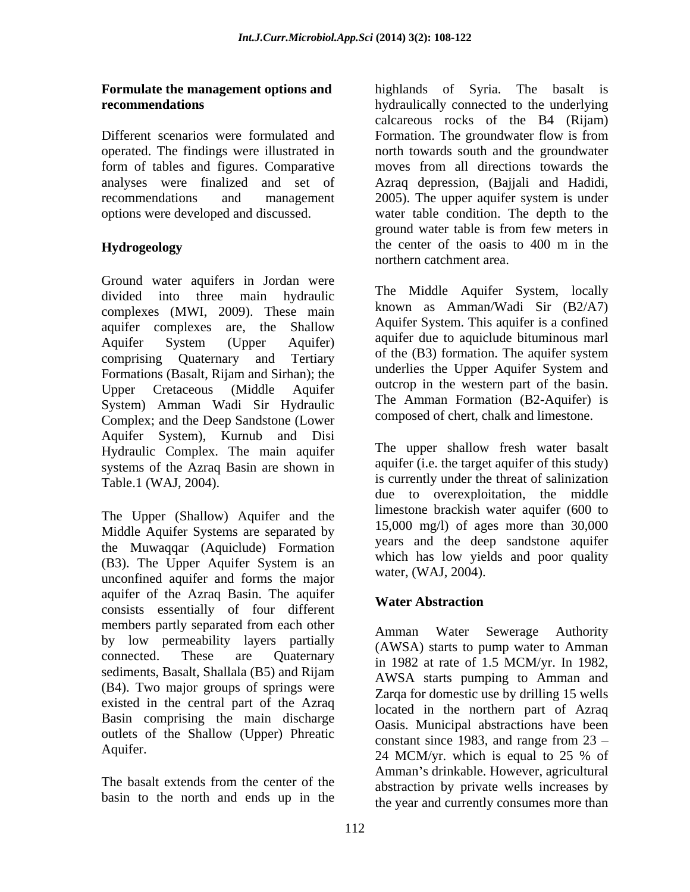Different scenarios were formulated and Formation. The groundwater flow is from form of tables and figures. Comparative analyses were finalized and set of

Ground water aquifers in Jordan were divided into three main hydraulic complexes (MWI, 2009). These main aquifer complexes are, the Shallow Aquifer System (Upper Aquifer) addition and additional additional problem and Aquifer comprising Quaternary and Tertiary Formations (Basalt, Rijam and Sirhan); the Upper Cretaceous (Middle Aquifer outcrop in the western part of the basin. System) Amman Wadi Sir Hydraulic Complex; and the Deep Sandstone (Lower Aquifer System), Kurnub and Disi Hydraulic Complex. The main aquifer systems of the Azraq Basin are shown in Table.1 (WAJ, 2004). is currently under the threat of salinization

The Upper (Shallow) Aquifer and the Middle Aquifer Systems are separated by the Muwaqqar (Aquiclude) Formation (B3). The Upper Aquifer System is an unconfined aquifer and forms the major aquifer of the Azraq Basin. The aquifer<br>
Water Abstraction consists essentially of four different members partly separated from each other<br>Amman Water Sewerage Authority by low permeability layers partially connected. These are Quaternary in 1982 at rate of 1.5 MCM/yr. In 1982, sediments, Basalt, Shallala (B5) and Rijam (B4). Two major groups of springs were existed in the central part of the Azraq Basin comprising the main discharge outlets of the Shallow (Upper) Phreatic

basin to the north and ends up in the

**Formulate the management options and**  highlands of Syria. The basalt is **recommendations** *recommendations hydraulically connected to the underlying* operated. The findings were illustrated in north towards south and the groundwater recommendations and management 2005). The upper aquifer system is under options were developed and discussed. water table condition. The depth to the **Hydrogeology** the center of the oasis to 400 m in the calcareous rocks of the B4 (Rijam) Formation. The groundwater flow is from moves from all directions towards the Azraq depression, (Bajjali and Hadidi, ground water table is from few meters in the center of the oasis to 400 m in the northern catchment area.

> The Middle Aquifer System, locally known as Amman/Wadi Sir (B2/A7) Aquifer System. This aquifer is a confined aquifer due to aquiclude bituminous marl of the (B3) formation. The aquifer system underlies the Upper Aquifer System and The Amman Formation (B2-Aquifer) is composed of chert, chalk and limestone.

> The upper shallow fresh water basalt aquifer (i.e. the target aquifer of this study) due to overexploitation, the middle limestone brackish water aquifer (600 to 15,000 mg/l) of ages more than 30,000 years and the deep sandstone aquifer which has low yields and poor quality water, (WAJ, 2004).

### **Water Abstraction**

Aquifer. 24 MCM/yr. which is equal to 25 % of The basalt extends from the center of the abstraction by private wells increases by Amman Water Sewerage (AWSA) starts to pump water to Amman AWSA starts pumping to Amman and Zarqa for domestic use by drilling 15 wells located in the northern part of Azraq Oasis. Municipal abstractions have been constant since 1983, and range from  $23 -$ 24 MCM/yr. which is equal to 25 % of Amman's drinkable. However, agricultural abstraction by private wells increases by the year and currently consumes more than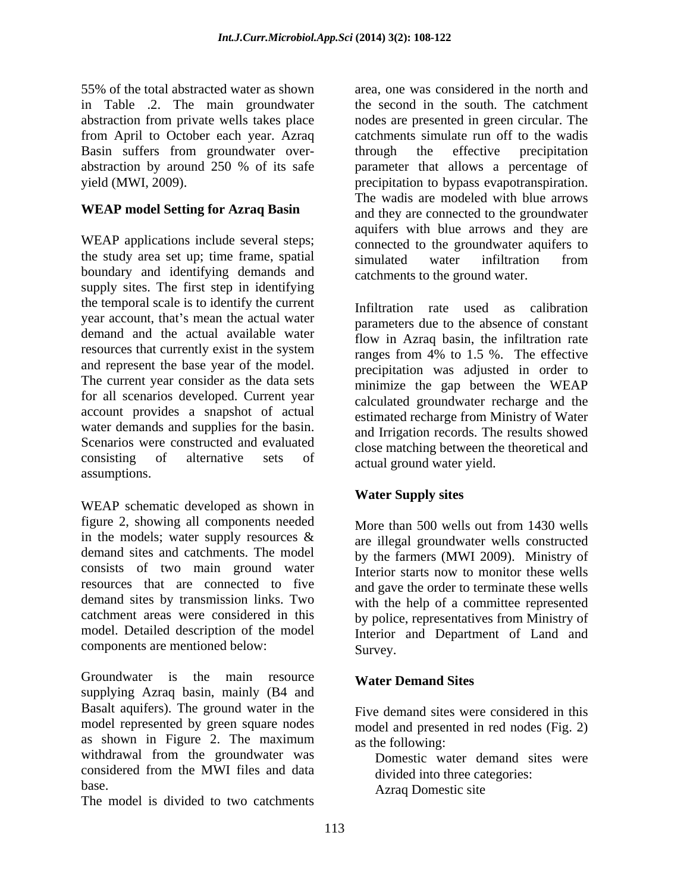55% of the total abstracted water as shown area, one was considered in the north and in Table .2. The main groundwater abstraction from private wells takes place nodes are presented in green circular. The from April to October each year. Azraq catchments simulate run off to the wadis Basin suffers from groundwater over-<br>through the effective precipitation abstraction by around 250 % of its safe parameter that allows a percentage of yield (MWI, 2009). precipitation to bypass evapotranspiration.

### **WEAP model Setting for Azraq Basin**

WEAP applications include several steps; the study area set up; time frame, spatial simulated water infiltration from boundary and identifying demands and supply sites. The first step in identifying the temporal scale is to identify the current year account, that's mean the actual water demand and the actual available water resources that currently exist in the system and represent the base year of the model. The current year consider as the data sets for all scenarios developed. Current year account provides a snapshot of actual water demands and supplies for the basin.<br>Scenarios were constructed and evaluated Scenarios were constructed and evaluated close matching between the theoretical and consisting of alternative sets of actual pround water vield assumptions.

WEAP schematic developed as shown in figure 2, showing all components needed in the models; water supply resources  $\&$  are illegal groundwater wells constructed demand sites and catchments. The model by the farmers (MWI 2009). Ministry of consists of two main ground water resources that are connected to five demand sites by transmission links. Two catchment areas were considered in this by police, representatives from Ministry of model. Detailed description of the model Interior and Department of Land and components are mentioned below: Survey.

Groundwater is the main resource Water Demand Sites supplying Azraq basin, mainly (B4 and Basalt aquifers). The ground water in the model represented by green square nodes as shown in Figure 2. The maximum  $\alpha$  as the following: withdrawal from the groundwater was<br>considered from the MWI files and data considered from the MWI files and data

The model is divided to two catchments

the second in the south. The catchment through the effective precipitation The wadis are modeled with blue arrows and they are connected to the groundwater aquifers with blue arrows and they are connected to the groundwater aquifers to simulated water infiltration from catchments to the ground water.

Infiltration rate used as calibration parameters due to the absence of constant flow in Azraq basin, the infiltration rate ranges from 4% to 1.5 %. The effective precipitation was adjusted in order to minimize the gap between the WEAP calculated groundwater recharge and the estimated recharge from Ministry of Water and Irrigation records. The results showed actual ground water yield.

### **Water Supply sites**

More than 500 wells out from 1430 wells are illegal groundwater wells constructed Interior starts now to monitor these wells and gave the order to terminate these wells with the help of a committee represented Survey.

### **Water Demand Sites**

Five demand sites were considered in this model and presented in red nodes (Fig. 2) as the following:

base.<br>
Azraq Domestic site Domestic water demand sites were divided into three categories: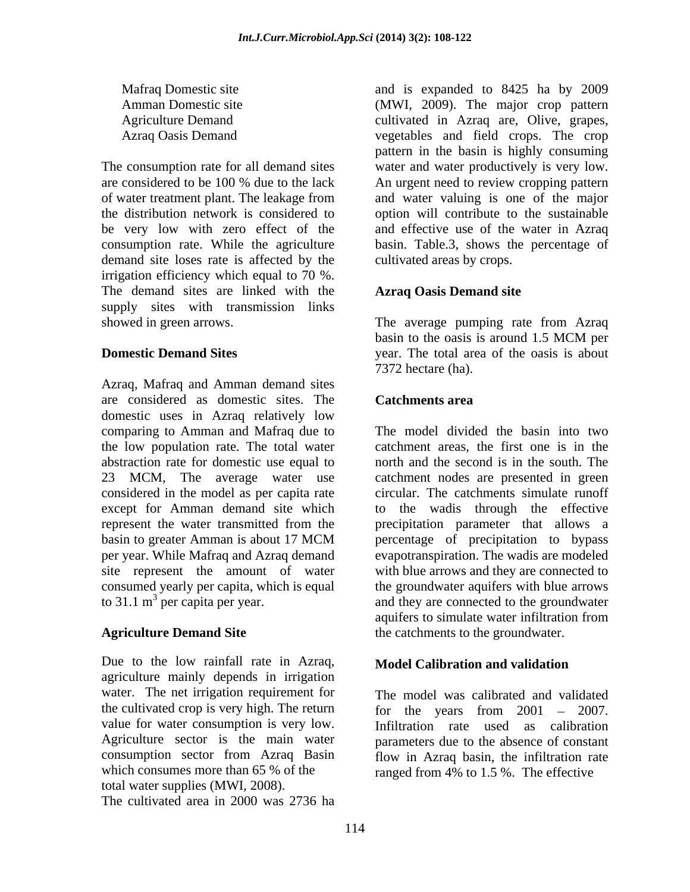demand site loses rate is affected by the irrigation efficiency which equal to 70 %. The demand sites are linked with the supply sites with transmission links showed in green arrows. The average pumping rate from Azraq

Azraq, Mafraq and Amman demand sites are considered as domestic sites. The domestic uses in Azraq relatively low comparing to Amman and Mafraq due to the low population rate. The total water abstraction rate for domestic use equal to 23 MCM, The average water use catchment nodes are presented in green considered in the model as per capita rate except for Amman demand site which to the wadis through the effective represent the water transmitted from the precipitation parameter that allows a basin to greater Amman is about 17 MCM bercentage of precipitation to bypass per year. While Mafraq and Azraq demand evapotranspiration. The wadis are modeled site represent the amount of water<br>consumed yearly per capita, which is equal consumed yearly per capita, which is equal the groundwater aquifers with blue arrows

Due to the low rainfall rate in Azraq, Model Calibration and validation agriculture mainly depends in irrigation water. The net irrigation requirement for the cultivated crop is very high. The return  $\frac{1}{200}$  for the years from 2001 - 2007. value for water consumption is very low. consumption sector from Azraq Basin which consumes more than 65 % of the ranged from 4% to 1.5 %. The effective total water supplies (MWI, 2008). The cultivated area in 2000 was 2736 ha

Mafraq Domestic site and is expanded to 8425 ha by 2009 Amman Domestic site (MWI, 2009). The major crop pattern Agriculture Demand cultivated in Azraq are, Olive, grapes, Azraq Oasis Demand vegetables and field crops. The crop The consumption rate for all demand sites water and water productively is very low. are considered to be 100 % due to the lack An urgent need to review cropping pattern of water treatment plant. The leakage from and water valuing is one of the major the distribution network is considered to option will contribute to the sustainable be very low with zero effect of the and effective use of the water in Azraq consumption rate. While the agriculture basin. Table.3, shows the percentage of pattern in the basin is highly consuming An urgent need to review cropping pattern cultivated areas by crops.

### **Azraq Oasis Demand site**

**Domestic Demand Sites** extending the sear. The total area of the oasis is about basin to the oasis is around 1.5 MCM per 7372 hectare (ha).

### **Catchments area**

to 31.1  $m^3$  per capita per year. and they are connected to the groundwater Agriculture **Demand Site the catchments to the groundwater**. The model divided the basin into two catchment areas, the first one is in the north and the second is in the south. The circular. The catchments simulate runoff percentage of precipitation to bypass with blue arrows and they are connected to aquifers to simulate water infiltration from

### **Model Calibration and validation**

Agriculture sector is the main water parameters due to the absence of constant The model was calibrated and validated for the years from  $2001 - 2007$ . Infiltration rate used as calibration flow in Azraq basin, the infiltration rate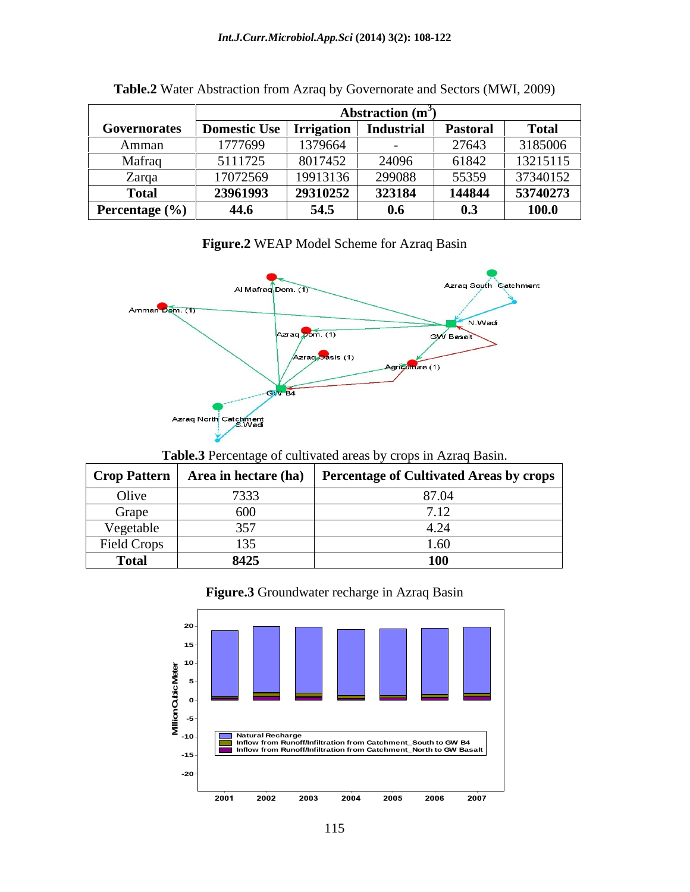|                    |                     |                   | Abstraction $(m^3)$ |                 |              |
|--------------------|---------------------|-------------------|---------------------|-----------------|--------------|
| Governorates       | <b>Domestic Use</b> | <b>Irrigation</b> | <b>Industrial</b>   | <b>Pastoral</b> | <b>Total</b> |
| Amman              | 1777699             | 1379664           |                     | 27643           | 3185006      |
| Mafraq             | 5111725             | 8017452           | 24096               | 61842           | 13215115     |
| Zarqa              | 17072569            | 19913136          | 299088              | 55359           | 37340152     |
| <b>Total</b>       | 23961993            | 29310252          | 323184              | 144844          | 53740273     |
| Percentage $(\% )$ | 44.6                | 54.5              | 0.6                 | V.J             | 100.0        |

| Table.2 Water | er Abstraction from Azrag by Governorate and Sectors (MWI,<br>(1, 2009) |  |
|---------------|-------------------------------------------------------------------------|--|
|               |                                                                         |  |

## **Figure.2** WEAP Model Scheme for Azraq Basin



### **Table.3** Percentage of cultivated areas by crops in Azraq Basin.

| Crop Pattern |                                  | Area in hectare (ha) Percentage of Cultivated Areas by crops |
|--------------|----------------------------------|--------------------------------------------------------------|
| Olive        | $\overline{\phantom{a}}$<br>133. | 87.04                                                        |
| Grape        | .60 <sup>0</sup>                 |                                                              |
| Vegetable    |                                  |                                                              |
| Field Crops  |                                  |                                                              |
| <b>Total</b> | 8425                             | TÛ.                                                          |

### **Figure.3** Groundwater recharge in Azraq Basin

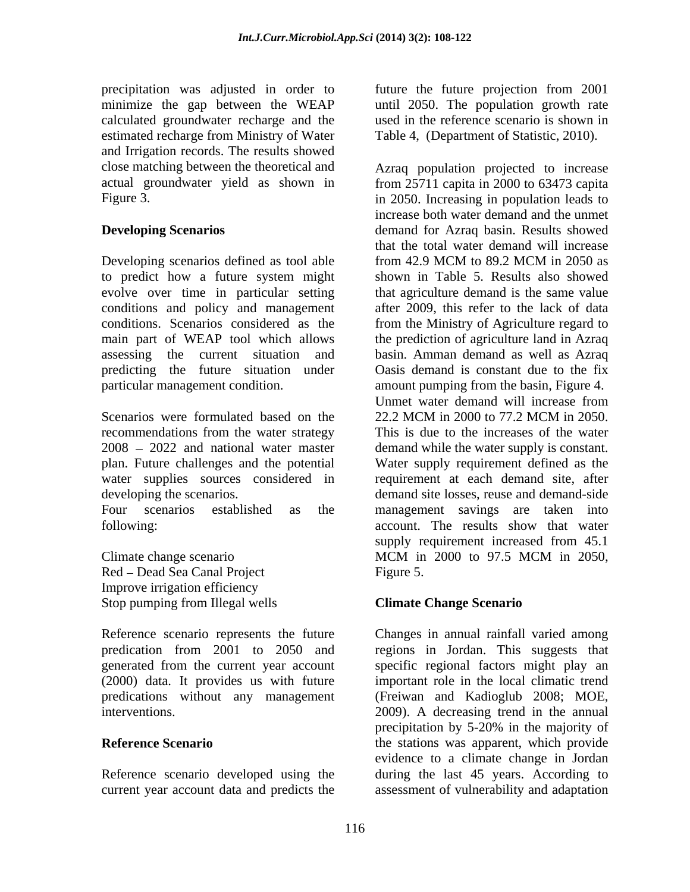precipitation was adjusted in order to future the future projection from 2001 minimize the gap between the WEAP calculated groundwater recharge and the estimated recharge from Ministry of Water and Irrigation records. The results showed

Developing scenarios defined as tool able from 42.9 MCM to 89.2 MCM in 2050 as to predict how a future system might evolve over time in particular setting conditions and policy and management

Scenarios were formulated based on the 22.2 MCM in 2000 to 77.2 MCM in 2050. recommendations from the water strategy water supplies sources considered in

Red – Dead Sea Canal Project Figure 5. Improve irrigation efficiency Stop pumping from Illegal wells **Climate Change Scenario** 

(2000) data. It provides us with future

until 2050. The population growth rate used in the reference scenario is shown in Table 4, (Department of Statistic, 2010).

close matching between the theoretical and Azraq population projected to increase actual groundwater yield as shown in from 25711 capita in 2000 to 63473 capita Figure 3. in 2050. Increasing in population leads to **Developing Scenarios** demand for Azraq basin. Results showed conditions. Scenarios considered as the from the Ministry of Agriculture regard to main part of WEAP tool which allows the prediction of agriculture land in Azraq assessing the current situation and basin. Amman demand as well as Azraq predicting the future situation under Oasis demand is constant due to the fix particular management condition. amount pumping from the basin, Figure 4. 2008 2022 and national water master demand while the water supply is constant. plan. Future challenges and the potential Water supply requirement defined as the developing the scenarios. demand site losses, reuse and demand-side Four scenarios established as the management savings are taken into following: account. The results show that water Climate change scenario MCM in 2000 to 97.5 MCM in 2050, increase both water demand and the unmet that the total water demand will increase from 42.9 MCM to 89.2 MCM in 2050 as shown in Table 5. Results also showed that agriculture demand is the same value after 2009, this refer to the lack of data Unmet water demand will increase from 22.2 MCM in 2000 to 77.2 MCM in 2050. This is due to the increases of the water requirement at each demand site, after supply requirement increased from 45.1 MCM in 2000 to 97.5 MCM in 2050, Figure 5.

### **Climate Change Scenario**

Reference scenario represents the future Changes in annual rainfall varied among predication from 2001 to 2050 and regions in Jordan. This suggests that generated from the current year account specific regional factors might play an predications without any management (Freiwan and Kadioglub 2008; MOE, interventions. 2009). A decreasing trend in the annual **Reference Scenario the stations was apparent, which provide** Reference scenario developed using the during the last 45 years. According to current year account data and predicts the assessment of vulnerability and adaptationimportant role in the local climatic trend precipitation by 5-20% in the majority of evidence to a climate change in Jordan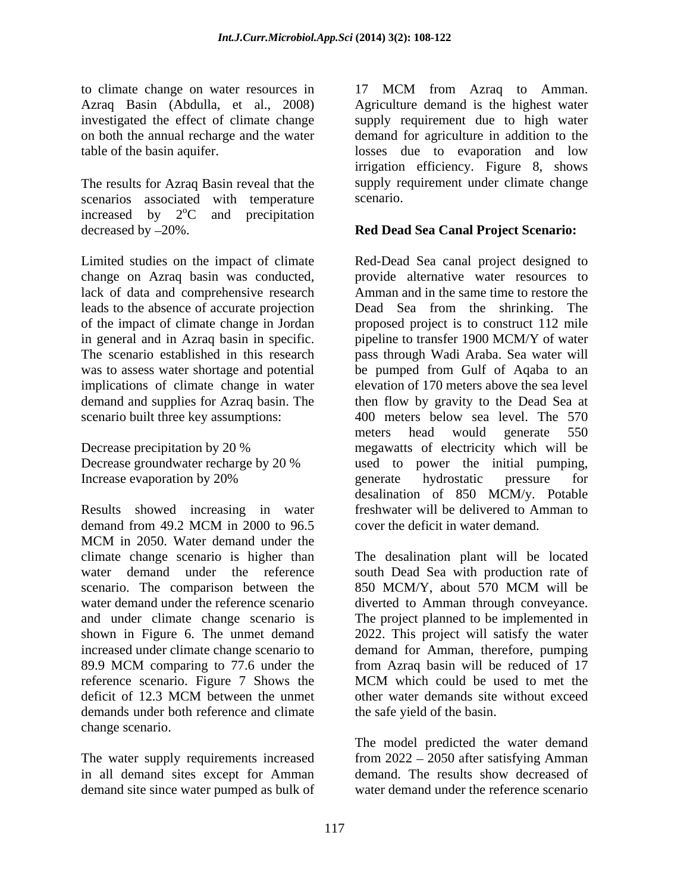The results for Azraq Basin reveal that the supply respectively associated with temperature scenario. scenarios associated with temperature increased by  $2^{\circ}$ C and precipitation <sup>o</sup>C and precipitation decreased by 20%. **Red Dead Sea Canal Project Scenario:**

change on Azraq basin was conducted, lack of data and comprehensive research of the impact of climate change in Jordan implications of climate change in water

Results showed increasing in water demand from 49.2 MCM in 2000 to 96.5 cover the deficit in water demand. MCM in 2050. Water demand under the climate change scenario is higher than The desalination plant will be located water demand under the reference south Dead Sea with production rate of scenario. The comparison between the 850 MCM/Y, about 570 MCM will be water demand under the reference scenario diverted to Amman through conveyance. and under climate change scenario is The project planned to be implemented in shown in Figure 6. The unmet demand 2022. This project will satisfy the water increased under climate change scenario to demand for Amman, therefore, pumping 89.9 MCM comparing to 77.6 under the from Azraq basin will be reduced of 17 reference scenario. Figure 7 Shows the MCM which could be used to met the deficit of 12.3 MCM between the unmet other water demands site without exceed demands under both reference and climate change scenario.

in all demand sites except for Amman demand site since water pumped as bulk of

to climate change on water resources in 17 MCM from Azraq to Amman. Azraq Basin (Abdulla, et al., 2008) Agriculture demand is the highest water investigated the effect of climate change supply requirement due to high water on both the annual recharge and the water demand for agriculture in addition to the table of the basin aquifer. losses due to evaporation and low irrigation efficiency. Figure 8, shows supply requirement under climate change scenario.

Limited studies on the impact of climate Red-Dead Sea canal project designed to leads to the absence of accurate projection Dead Sea from the shrinking. The in general and in Azraq basin in specific. pipeline to transfer 1900 MCM/Y of water The scenario established in this research pass through Wadi Araba. Sea water will was to assess water shortage and potential be pumped from Gulf of Aqaba to an demand and supplies for Azraq basin. The then flow by gravity to the Dead Sea at scenario built three key assumptions: 400 meters below sea level. The 570 Decrease precipitation by 20 % megawatts of electricity which will be Decrease groundwater recharge by 20 % used to power the initial pumping,<br>Increase evaporation by 20% generate hydrostatic pressure for Increase evaporation by 20% enerate hydrostatic pressure for provide alternative water resources to Amman and in the same time to restore the proposed project is to construct 112 mile elevation of 170 meters above the sea level meters head would generate 550 megawatts of electricity which will be used to power the initial pumping,<br>generate hydrostatic pressure for desalination of 850 MCM/y. Potable freshwater will be delivered to Amman to cover the deficit in water demand.

> 850 MCM/Y, about 570 MCM will be from Azraq basin will be reduced of 17 MCM which could be used to met the other water demands site without exceed the safe yield of the basin.

The water supply requirements increased from 2022 – 2050 after satisfying Amman The model predicted the water demand demand. The results show decreased of water demand under the reference scenario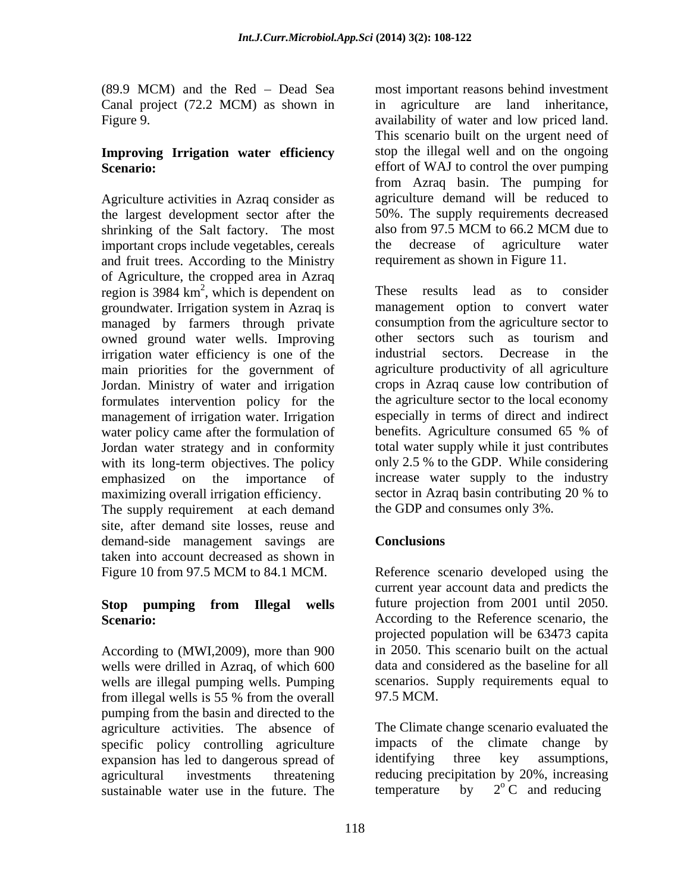Canal project (72.2 MCM) as shown in

# **Improving Irrigation water efficiency**

Agriculture activities in Azraq consider as the largest development sector after the 50%. The supply requirements decreased<br>shrinking of the Salt factory. The most also from 97.5 MCM to 66.2 MCM due to shrinking of the Salt factory. The most also from 97.5 MCM to 66.2 MCM important crops include vegetables, cereals the decrease of agriculture important crops include vegetables, cereals the decrease of agriculture water and fruit trees. According to the Ministry of Agriculture, the cropped area in Azraq region is  $3984 \text{ km}^2$ , which is dependent on These results lead as to consider groundwater. Irrigation system in Azraq is managed by farmers through private consumption from the agriculture sector to owned ground water wells. Improving other sectors such as tourism and owned ground water wells. Improving other sectors such as tourism and irrigation water efficiency is one of the industrial sectors. Decrease in the irrigation water efficiency is one of the main priorities for the government of Jordan. Ministry of water and irrigation formulates intervention policy for the management of irrigation water. Irrigation especially in terms of direct and indirect water policy came after the formulation of benefits. Agriculture consumed 65 % of water policy came after the formulation of Jordan water strategy and in conformity

The supply requirement at each demand site, after demand site losses, reuse and demand-side management savings are **Conclusions** taken into account decreased as shown in

According to (MWI,2009), more than 900 wells were drilled in Azraq, of which 600 wells are illegal pumping wells. Pumping from illegal wells is 55 % from the overall 97.5 MCM. pumping from the basin and directed to the agriculture activities. The absence of specific policy controlling agriculture impacts of the climate change by expansion has led to dangerous spread of identifying three key assumptions, sustainable water use in the future. The temperature by

(89.9 MCM) and the Red – Dead Sea most important reasons behind investment Figure 9. availability of water and low priced land. **Scenario:** effort of WAJ to control the over pumping agriculture are land inheritance, This scenario built on the urgent need of stop the illegal well and on the ongoing from Azraq basin. The pumping for agriculture demand will be reduced to 50%. The supply requirements decreased also from 97.5 MCM to 66.2 MCM due to the decrease of agriculture water requirement as shown in Figure 11.

These results lead as , which is dependent on These results lead as to consider with its long-term objectives. The policy only 2.5 % to the GDP. While considering emphasized on the importance of increase water supply to the industry maximizing overall irrigation efficiency. sector in Azraq basin contributing 20 % to These results lead as to consider management option to convert water consumption from the agriculture sector to other sectors such as tourism and industrial sectors. Decrease in the agriculture productivity of all agriculture crops in Azraq cause low contribution of the agriculture sector to the local economy especially in terms of direct and indirect benefits. Agriculture consumed 65 % of total water supply while it just contributes the GDP and consumes only 3%.

### **Conclusions**

Figure 10 from 97.5 MCM to 84.1 MCM. Reference scenario developed using the **Stop pumping from Illegal wells** Scenario: **Scenario:** According to the Reference scenario, the current year account data and predicts the future projection from 2001 until 2050. projected population will be 63473 capita in 2050. This scenario built on the actual data and considered as the baseline for all scenarios. Supply requirements equal to 97.5 MCM.

agricultural investments threatening reducing precipitation by 20%, increasing The Climate change scenario evaluated the impacts of the climate identifying three key assumptions, temperature by  $2^{o}C$  and reducing  $2^{\circ}$  C and reducing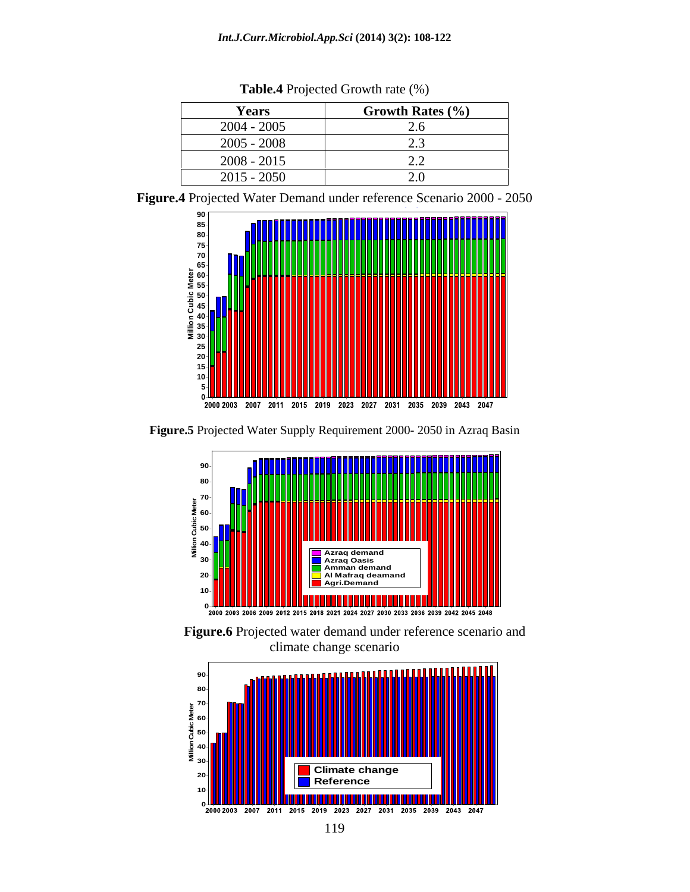| Years         | Growth Rates $(\% )$ |
|---------------|----------------------|
| $2004 - 2005$ | ້⊷                   |
| $2005 - 2008$ | ن. گ                 |
| $2008 - 2015$ | ~∙                   |
| $2015 - 2050$ | $\sim$ . $\circ$     |

**Table.4** Projected Growth rate (%)

**Figure.4** Projected Water Demand under reference Scenario 2000 - 2050 **Scenario: Reference, All months (12)**



**Figure.5** Projected Water Supply Requirement 2000- 2050 in Azraq Basin



**Figure.6** Projected water demand under reference scenario and climate change scenario

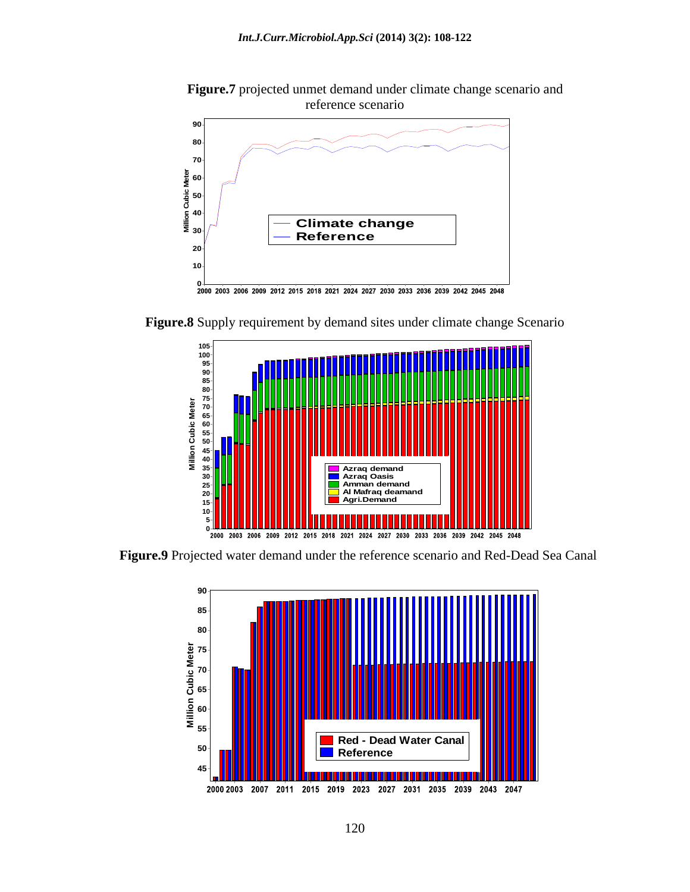**Figure.7** projected unmet demand under climate change scenario and reference scenario



**Figure.8** Supply requirement by demand sites under climate change Scenario



 **Figure.9** Projected water demand under the reference scenario and Red-Dead Sea Canal

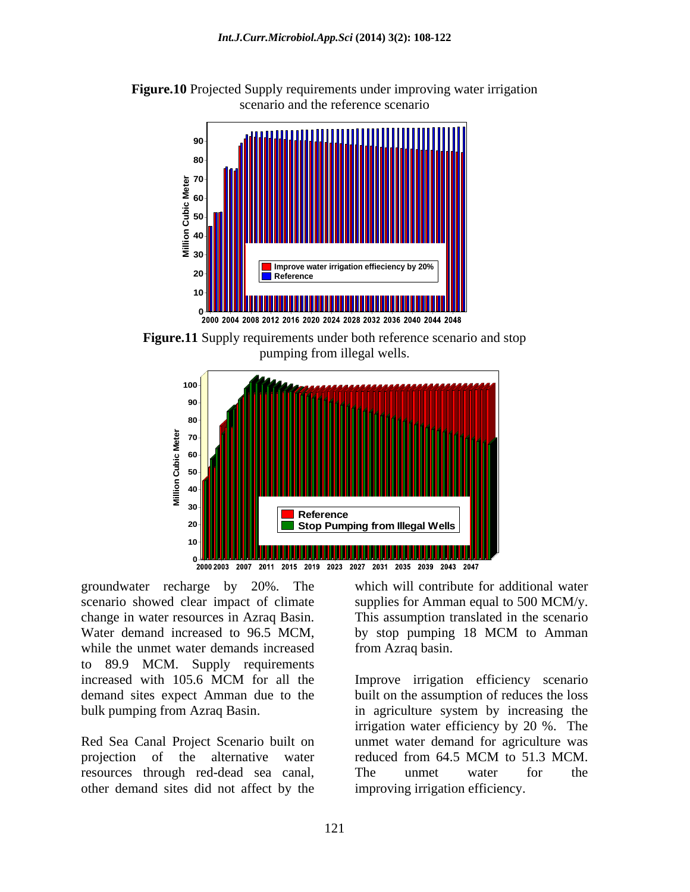



**Figure.11** Supply requirements under both reference scenario and stop pumping from illegal wells.



groundwater recharge by 20%. The scenario showed clear impact of climate supplies for Amman equal to 500 MCM/y. change in water resources in Azraq Basin. This assumption translated in the scenario Water demand increased to 96.5 MCM, by stop pumping 18 MCM to Amman while the unmet water demands increased to 89.9 MCM. Supply requirements groundwater recharge by 20%. The which will contribute for additional water<br>cenario showed clear impact of climate supplies for Amman equal to 500 MCM/y.<br>change in water resources in Azraq Basin. This assumption translated

projection of the alternative water reduced from 64.5 MCM to 51.3 MCM. other demand sites did not affect by the improving irrigation efficiency.

from Azraq basin.

increased with 105.6 MCM for all the Improve irrigation efficiency scenario demand sites expect Amman due to the built on the assumption of reduces the loss bulk pumping from Azraq Basin. in agriculture system by increasing the Red Sea Canal Project Scenario built on unmet water demand for agriculture was Improve irrigation efficiency scenario irrigation water efficiency by 20 %. The reduced from 64.5 MCM to 51.3 MCM. The unmet water for the